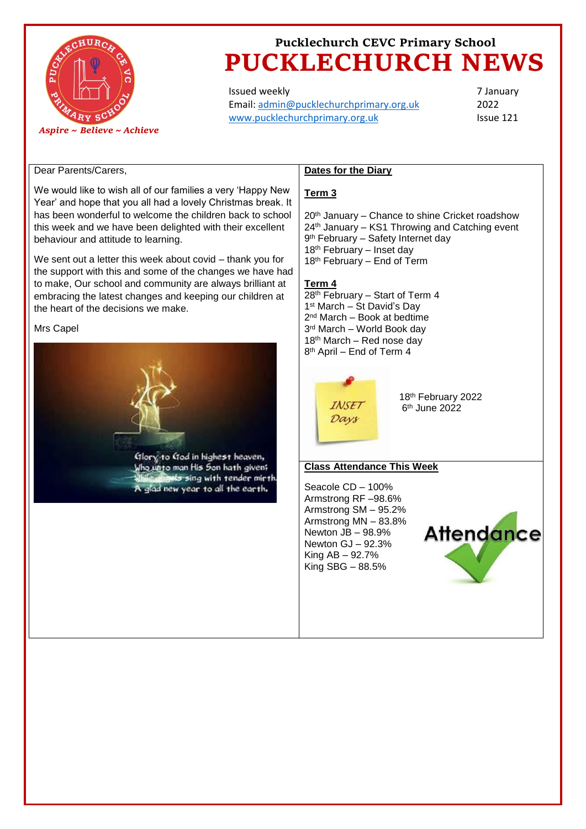

# **Pucklechurch CEVC Primary School PUCKLECHURCH NEWS**

Issued weekly Email: [admin@pucklechurchprimary.org.uk](mailto:admin@pucklechurchprimary.org.uk) [www.pucklechurchprimary.org.uk](http://www.pucklechurchprimary.org.uk/)

7 January 2022 Issue 121

### Dear Parents/Carers,

We would like to wish all of our families a very 'Happy New Year' and hope that you all had a lovely Christmas break. It has been wonderful to welcome the children back to school this week and we have been delighted with their excellent behaviour and attitude to learning.

We sent out a letter this week about covid – thank you for the support with this and some of the changes we have had to make, Our school and community are always brilliant at embracing the latest changes and keeping our children at the heart of the decisions we make.

#### Mrs Capel



## **Dates for the Diary**

### **Term 3**

20<sup>th</sup> January – Chance to shine Cricket roadshow 24th January – KS1 Throwing and Catching event 9<sup>th</sup> February – Safety Internet day 18<sup>th</sup> February – Inset day 18th February – End of Term

### **Term 4**

th February – Start of Term 4 st March – St David's Day nd March – Book at bedtime rd March – World Book day  $18<sup>th</sup>$  March – Red nose day 8<sup>th</sup> April – End of Term 4



18th February 2022 6 th June 2022

#### **Class Attendance This Week**

Seacole CD – 100% Armstrong RF –98.6% Armstrong SM – 95.2% Armstrong MN – 83.8% Newton JB – 98.9% Newton GJ – 92.3% King AB – 92.7% King SBG – 88.5%

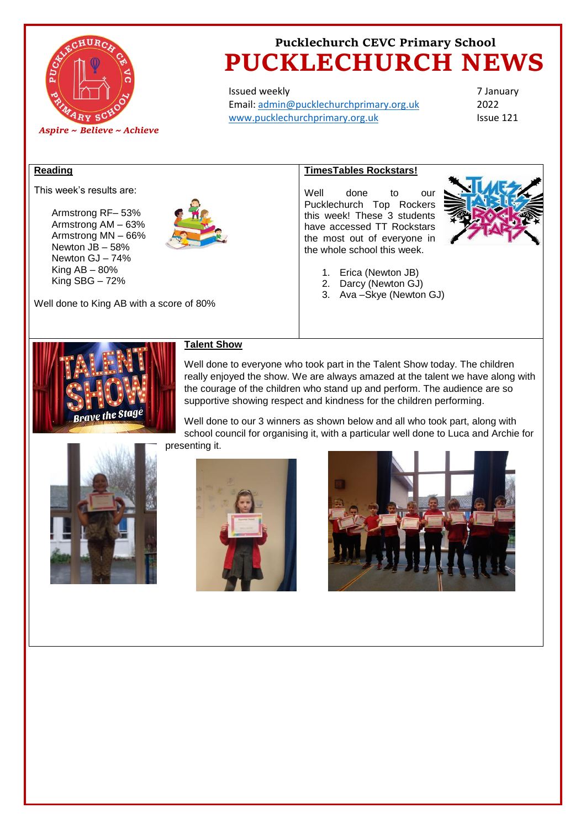

## **Pucklechurch CEVC Primary School PUCKLECHURCH NEWS**

Issued weekly Email: [admin@pucklechurchprimary.org.uk](mailto:admin@pucklechurchprimary.org.uk) [www.pucklechurchprimary.org.uk](http://www.pucklechurchprimary.org.uk/)

7 January 2022 Issue 121

#### **Reading**

This week's results are:

Armstrong RF– 53% Armstrong AM – 63% Armstrong MN – 66% Newton JB – 58% Newton GJ – 74% King  $AB - 80%$ King SBG – 72%



### **TimesTables Rockstars!**

Well done to our Pucklechurch Top Rockers this week! These 3 students have accessed TT Rockstars the most out of everyone in the whole school this week.



- 1. Erica (Newton JB)
- 2. Darcy (Newton GJ)
- 3. Ava –Skye (Newton GJ)



### **Talent Show**

Well done to everyone who took part in the Talent Show today. The children really enjoyed the show. We are always amazed at the talent we have along with the courage of the children who stand up and perform. The audience are so supportive showing respect and kindness for the children performing.

Well done to our 3 winners as shown below and all who took part, along with school council for organising it, with a particular well done to Luca and Archie for presenting it.